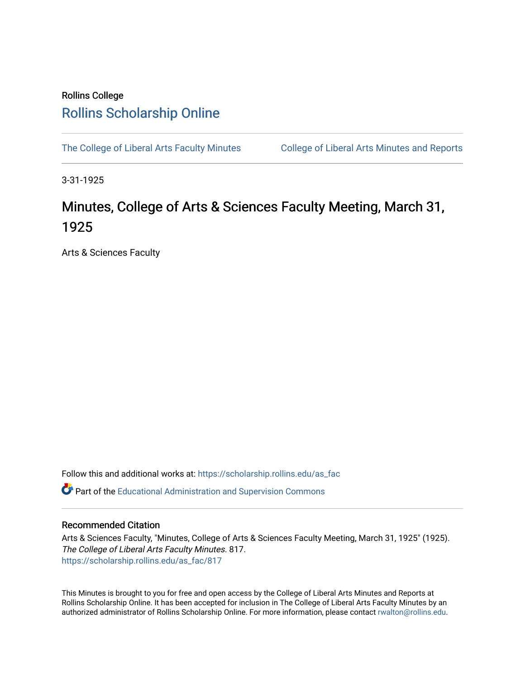## Rollins College [Rollins Scholarship Online](https://scholarship.rollins.edu/)

[The College of Liberal Arts Faculty Minutes](https://scholarship.rollins.edu/as_fac) College of Liberal Arts Minutes and Reports

3-31-1925

## Minutes, College of Arts & Sciences Faculty Meeting, March 31, 1925

Arts & Sciences Faculty

Follow this and additional works at: [https://scholarship.rollins.edu/as\\_fac](https://scholarship.rollins.edu/as_fac?utm_source=scholarship.rollins.edu%2Fas_fac%2F817&utm_medium=PDF&utm_campaign=PDFCoverPages) 

**P** Part of the [Educational Administration and Supervision Commons](http://network.bepress.com/hgg/discipline/787?utm_source=scholarship.rollins.edu%2Fas_fac%2F817&utm_medium=PDF&utm_campaign=PDFCoverPages)

## Recommended Citation

Arts & Sciences Faculty, "Minutes, College of Arts & Sciences Faculty Meeting, March 31, 1925" (1925). The College of Liberal Arts Faculty Minutes. 817. [https://scholarship.rollins.edu/as\\_fac/817](https://scholarship.rollins.edu/as_fac/817?utm_source=scholarship.rollins.edu%2Fas_fac%2F817&utm_medium=PDF&utm_campaign=PDFCoverPages) 

This Minutes is brought to you for free and open access by the College of Liberal Arts Minutes and Reports at Rollins Scholarship Online. It has been accepted for inclusion in The College of Liberal Arts Faculty Minutes by an authorized administrator of Rollins Scholarship Online. For more information, please contact [rwalton@rollins.edu](mailto:rwalton@rollins.edu).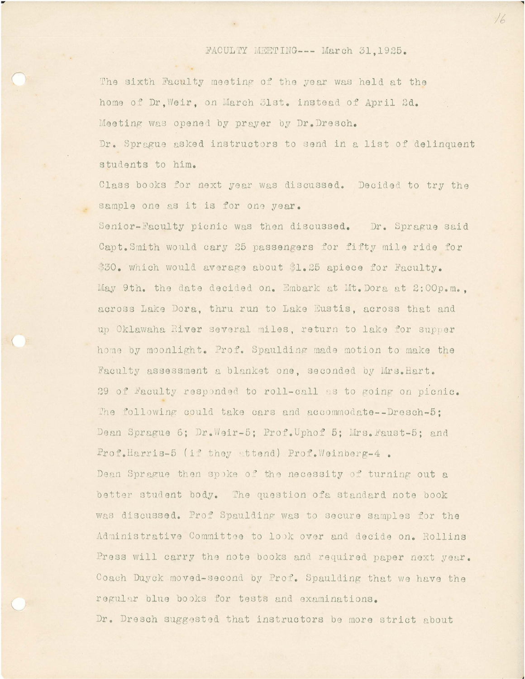## FACULTY MEETING --- March 31.1925.

The sixth Faculty meeting of the year was held at the home of Dr. Weir, on March 31st. instead of April 2d. Meeting was opened by prayer by Dr. Dresch. Dr. Sprague asked instructors to send in a list of delinquent students to him.

Class books for next year was discussed. Decided to try the sample one as it is for one year.

Senior-Faculty picnic was then discussed. Dr. Sprague said Capt. Smith would cary 25 passengers for fifty mile ride for \$30. which would average about \$1.25 apiece for Faculty. May 9th. the date decided on. Embark at Mt. Dora at 2:00p.m.. across Lake Dora, thru run to Lake Eustis, across that and up Oklawaha River several miles, return to lake for supper home by moonlight. Prof. Spaulding made motion to make the Faculty assessment a blanket one, seconded by Mrs. Hart. 29 of Faculty responded to roll-call as to going on picnic. The following could take cars and accommodate--Dresch-5: Dean Sprague 6; Dr. Weir-5; Prof. Uphof 5; Mrs. Faust-5; and Prof.Harris-5 (if they attend) Prof.Weinberg-4. Dean Sprague then spoke of the necessity of turning out a better student body. The question of a standard note book was discussed. Prof Spaulding was to secure samples for the Administrative Committee to look over and decide on. Rollins Press will carry the note books and required paper next year. Coach Duyck moved-second by Prof. Spaulding that we have the regular blue books for tests and examinations.

Dr. Dresch suggested that instructors be more strict about